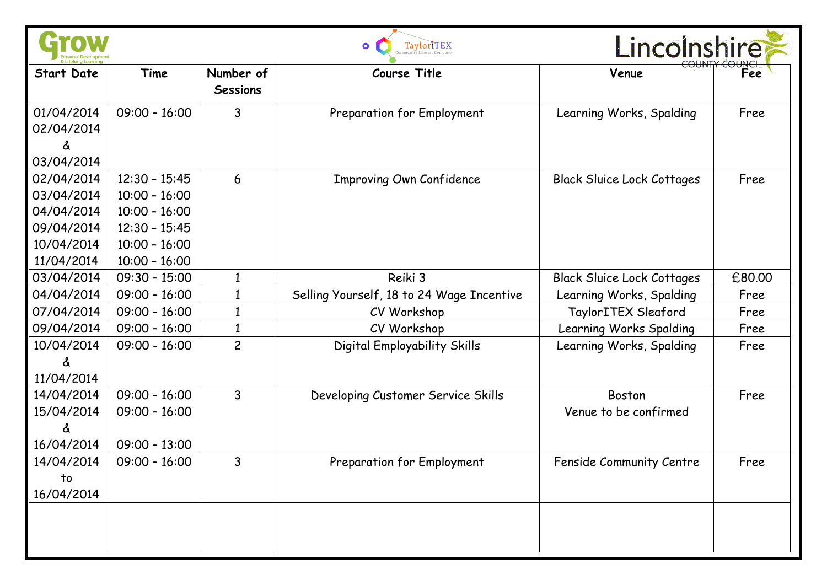|                                                                                  | TayloriTEX                                                                                                     |                              |                                           | <i>incolnshire</i>                     |        |  |
|----------------------------------------------------------------------------------|----------------------------------------------------------------------------------------------------------------|------------------------------|-------------------------------------------|----------------------------------------|--------|--|
| <b>Start Date</b>                                                                | Time                                                                                                           | Number of<br><b>Sessions</b> | Course Title                              | Venue                                  | Fee    |  |
| 01/04/2014<br>02/04/2014<br>ፊ<br>03/04/2014                                      | $09:00 - 16:00$                                                                                                | 3                            | Preparation for Employment                | Learning Works, Spalding               | Free   |  |
| 02/04/2014<br>03/04/2014<br>04/04/2014<br>09/04/2014<br>10/04/2014<br>11/04/2014 | $12:30 - 15:45$<br>$10:00 - 16:00$<br>$10:00 - 16:00$<br>$12:30 - 15:45$<br>$10:00 - 16:00$<br>$10:00 - 16:00$ | 6                            | <b>Improving Own Confidence</b>           | <b>Black Sluice Lock Cottages</b>      | Free   |  |
| 03/04/2014                                                                       | $09:30 - 15:00$                                                                                                | $\mathbf{1}$                 | Reiki 3                                   | <b>Black Sluice Lock Cottages</b>      | £80.00 |  |
| 04/04/2014                                                                       | $09:00 - 16:00$                                                                                                | $\mathbf{1}$                 | Selling Yourself, 18 to 24 Wage Incentive | Learning Works, Spalding               | Free   |  |
| 07/04/2014                                                                       | $09:00 - 16:00$                                                                                                | $\mathbf{1}$                 | CV Workshop                               | TaylorITEX Sleaford                    | Free   |  |
| 09/04/2014                                                                       | $09:00 - 16:00$                                                                                                | $\mathbf{1}$                 | CV Workshop                               | Learning Works Spalding                | Free   |  |
| 10/04/2014<br>Y.<br>11/04/2014                                                   | $09:00 - 16:00$                                                                                                | $\overline{c}$               | Digital Employability Skills              | Learning Works, Spalding               | Free   |  |
| 14/04/2014<br>15/04/2014<br>ፊ<br>16/04/2014                                      | $09:00 - 16:00$<br>$09:00 - 16:00$<br>$09:00 - 13:00$                                                          | 3                            | Developing Customer Service Skills        | <b>Boston</b><br>Venue to be confirmed | Free   |  |
| 14/04/2014<br>to<br>16/04/2014                                                   | $09:00 - 16:00$                                                                                                | 3                            | Preparation for Employment                | Fenside Community Centre               | Free   |  |
|                                                                                  |                                                                                                                |                              |                                           |                                        |        |  |

œ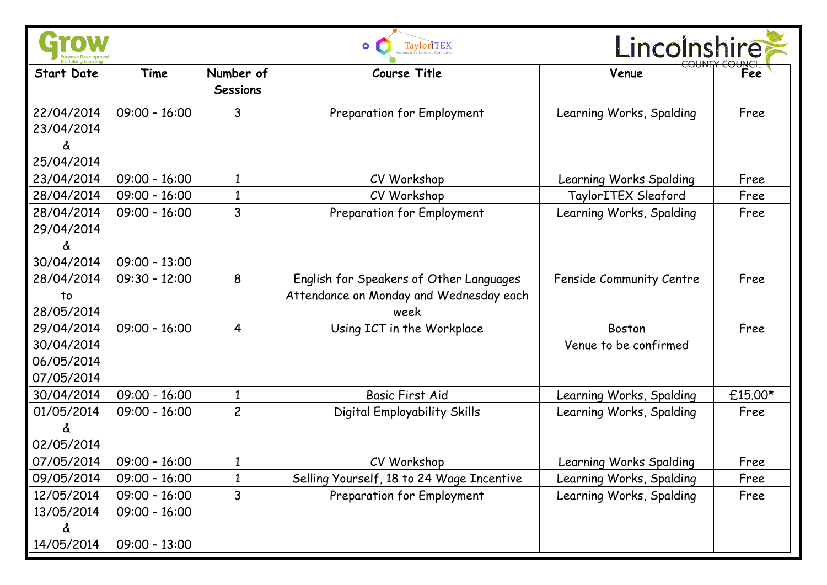|                                                      | TaylorITEX                                            |                              |                                                                                            | Lincolnshire                    |         |
|------------------------------------------------------|-------------------------------------------------------|------------------------------|--------------------------------------------------------------------------------------------|---------------------------------|---------|
| <b>Start Date</b>                                    | Time                                                  | Number of<br><b>Sessions</b> | <b>Course Title</b>                                                                        | Venue                           | Fee     |
| 22/04/2014<br>23/04/2014<br>å<br>25/04/2014          | $09:00 - 16:00$                                       | 3                            | Preparation for Employment                                                                 | Learning Works, Spalding        | Free    |
| 23/04/2014                                           | $09:00 - 16:00$                                       | $\mathbf{1}$                 | CV Workshop                                                                                | Learning Works Spalding         | Free    |
| 28/04/2014                                           | $09:00 - 16:00$                                       | $\mathbf{1}$                 | CV Workshop                                                                                | TaylorITEX Sleaford             | Free    |
| 28/04/2014<br>29/04/2014<br>å<br>30/04/2014          | $09:00 - 16:00$<br>$09:00 - 13:00$                    | 3                            | Preparation for Employment                                                                 | Learning Works, Spalding        | Free    |
| 28/04/2014<br>to<br>28/05/2014                       | $09:30 - 12:00$                                       | 8                            | English for Speakers of Other Languages<br>Attendance on Monday and Wednesday each<br>week | Fenside Community Centre        | Free    |
| 29/04/2014<br>30/04/2014<br>06/05/2014<br>07/05/2014 | $09:00 - 16:00$                                       | $\overline{4}$               | Using ICT in the Workplace                                                                 | Boston<br>Venue to be confirmed | Free    |
| 30/04/2014                                           | $09:00 - 16:00$                                       | $\mathbf{1}$                 | <b>Basic First Aid</b>                                                                     | Learning Works, Spalding        | £15.00* |
| 01/05/2014<br>02/05/2014                             | $09:00 - 16:00$                                       | $\overline{c}$               | Digital Employability Skills                                                               | Learning Works, Spalding        | Free    |
| 07/05/2014                                           | $09:00 - 16:00$                                       | $\mathbf{1}$                 | CV Workshop                                                                                | Learning Works Spalding         | Free    |
| 09/05/2014                                           | $09:00 - 16:00$                                       | $\mathbf{1}$                 | Selling Yourself, 18 to 24 Wage Incentive                                                  | Learning Works, Spalding        | Free    |
| 12/05/2014<br>13/05/2014<br>å<br>14/05/2014          | $09:00 - 16:00$<br>$09:00 - 16:00$<br>$09:00 - 13:00$ | 3                            | Preparation for Employment                                                                 | Learning Works, Spalding        | Free    |